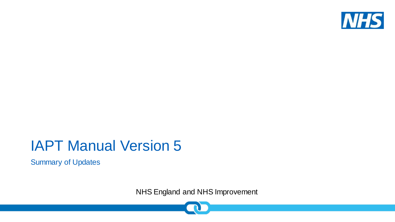

#### IAPT Manual Version 5

Summary of Updates

NHS England and NHS Improvement

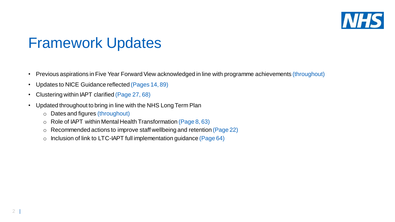

#### Framework Updates

- Previous aspirations in Five Year Forward View acknowledged in line with programme achievements (throughout)
- Updates to NICE Guidance reflected (Pages 14, 89)
- Clustering within IAPT clarified (Page 27, 68)
- Updated throughout to bring in line with the NHS Long Term Plan
	- o Dates and figures (throughout)
	- $\circ$  Role of IAPT within Mental Health Transformation (Page 8, 63)
	- o Recommended actions to improve staff wellbeing and retention (Page 22)
	- $\circ$  Inclusion of link to LTC-IAPT full implementation guidance (Page 64)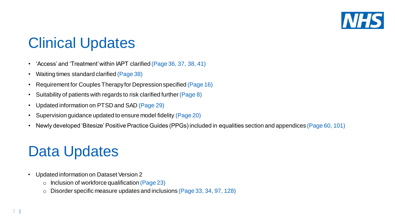

#### Clinical Updates

- 'Access' and 'Treatment' within IAPT clarified (Page 36, 37, 38, 41)
- Waiting times standard clarified (Page 38)
- Requirement for Couples Therapy for Depression specified (Page 16)
- Suitability of patients with regards to risk clarified further (Page 8)
- Updated information on PTSD and SAD (Page 29)
- Supervision guidance updated to ensure model fidelity (Page 20)
- Newly developed 'Bitesize' Positive Practice Guides (PPGs) included in equalities section and appendices (Page 60, 101)

# Data Updates

- Updated information on Dataset Version 2
	- $\circ$  Inclusion of workforce qualification (Page 23)
	- o Disorder specific measure updates and inclusions (Page 33, 34, 97, 128)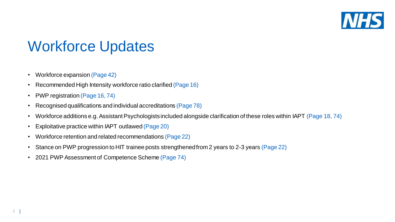

# Workforce Updates

- Workforce expansion (Page 42)
- Recommended High Intensity workforce ratio clarified (Page 16)
- PWP registration (Page 16, 74)
- Recognised qualifications and individual accreditations (Page 78)
- Workforce additions e.g. Assistant Psychologists included alongside clarification of these roles within IAPT (Page 18, 74)
- Exploitative practice within IAPT outlawed (Page 20)
- Workforce retention and related recommendations (Page 22)
- Stance on PWP progression to HIT trainee posts strengthened from 2 years to 2-3 years (Page 22)
- 2021 PWP Assessment of Competence Scheme (Page 74)